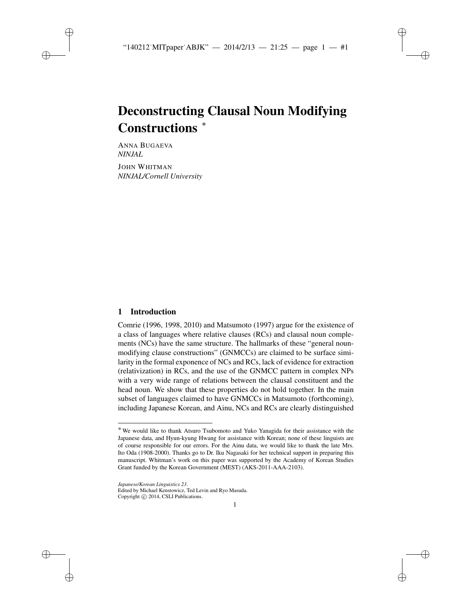✐

✐

✐

# Deconstructing Clausal Noun Modifying Constructions \*

ANNA BUGAEVA *NINJAL*

✐

✐

✐

✐

JOHN WHITMAN *NINJAL/Cornell University*

# 1 Introduction

Comrie (1996, 1998, 2010) and Matsumoto (1997) argue for the existence of a class of languages where relative clauses (RCs) and clausal noun complements (NCs) have the same structure. The hallmarks of these "general nounmodifying clause constructions" (GNMCCs) are claimed to be surface similarity in the formal exponence of NCs and RCs, lack of evidence for extraction (relativization) in RCs, and the use of the GNMCC pattern in complex NPs with a very wide range of relations between the clausal constituent and the head noun. We show that these properties do not hold together. In the main subset of languages claimed to have GNMCCs in Matsumoto (forthcoming), including Japanese Korean, and Ainu, NCs and RCs are clearly distinguished

Edited by Michael Kenstowicz, Ted Levin and Ryo Masuda. Copyright  $\odot$  2014, CSLI Publications.

<sup>\*</sup> We would like to thank Atsuro Tsubomoto and Yuko Yanagida for their assistance with the Japanese data, and Hyun-kyung Hwang for assistance with Korean; none of these linguists are of course responsible for our errors. For the Ainu data, we would like to thank the late Mrs. Ito Oda (1908-2000). Thanks go to Dr. Iku Nagasaki for her technical support in preparing this manuscript. Whitman's work on this paper was supported by the Academy of Korean Studies Grant funded by the Korean Government (MEST) (AKS-2011-AAA-2103).

*Japanese/Korean Linguistics 23*.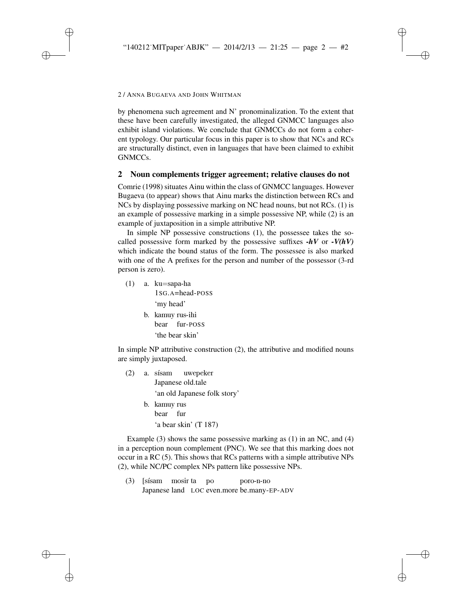✐

✐

✐

#### 2/ANNA BUGAEVA AND JOHN WHITMAN

✐

✐

✐

✐

by phenomena such agreement and N' pronominalization. To the extent that these have been carefully investigated, the alleged GNMCC languages also exhibit island violations. We conclude that GNMCCs do not form a coherent typology. Our particular focus in this paper is to show that NCs and RCs are structurally distinct, even in languages that have been claimed to exhibit GNMCCs.

# 2 Noun complements trigger agreement; relative clauses do not

Comrie (1998) situates Ainu within the class of GNMCC languages. However Bugaeva (to appear) shows that Ainu marks the distinction between RCs and NCs by displaying possessive marking on NC head nouns, but not RCs. (1) is an example of possessive marking in a simple possessive NP, while (2) is an example of juxtaposition in a simple attributive NP.

In simple NP possessive constructions (1), the possessee takes the socalled possessive form marked by the possessive suffixes  $-hV$  or  $-V(hV)$ which indicate the bound status of the form. The possessee is also marked with one of the A prefixes for the person and number of the possessor (3-rd person is zero).

(1) a. ku=sapa-ha 1SG.A=head-POSS 'my head' b. kamuy rus-ihi bear fur-POSS

'the bear skin'

In simple NP attributive construction (2), the attributive and modified nouns are simply juxtaposed.

- $(2)$  a. sisam Japanese old.tale uwepeker 'an old Japanese folk story'
	- b. kamuy rus bear fur 'a bear skin' (T 187)

Example (3) shows the same possessive marking as (1) in an NC, and (4) in a perception noun complement (PNC). We see that this marking does not occur in a RC (5). This shows that RCs patterns with a simple attributive NPs (2), while NC/PC complex NPs pattern like possessive NPs.

(3) [sísam mosir ta Japanese land LOC even.more be.many-EP-ADVpo poro-n-no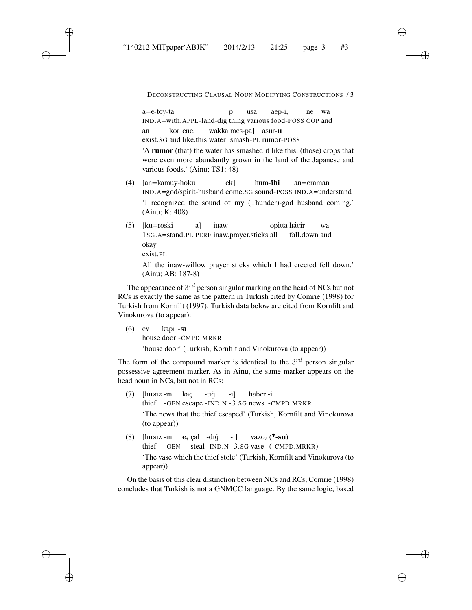✐

✐

✐

DECONSTRUCTING CLAUSAL NOUN MODIFYING CONSTRUCTIONS / 3

✐

✐

✐

✐

a=e-toy-ta IND.A=with.APPL-land-dig thing various food-POSS COP and p usa aep-i, ne wa an exist.SG and like.this water smash-PL rumor-POSS kor ene, wakka mes-pa] asur-u

'A rumor (that) the water has smashed it like this, (those) crops that were even more abundantly grown in the land of the Japanese and various foods.' (Ainu; TS1: 48)

- (4) [an=kamuy-hoku IND.A=god/spirit-husband come.SG sound-POSS IND.A=understand ek] hum-ihi an=eraman 'I recognized the sound of my (Thunder)-god husband coming.' (Ainu; K: 408)
- (5) [ku=roski 1SG.A=stand.PL PERF inaw.prayer.sticks all a] inaw opitta hácir fall.down and wa okay exist.PL

All the inaw-willow prayer sticks which I had erected fell down.' (Ainu; AB: 187-8)

The appearance of  $3^{rd}$  person singular marking on the head of NCs but not RCs is exactly the same as the pattern in Turkish cited by Comrie (1998) for Turkish from Kornfilt (1997). Turkish data below are cited from Kornfilt and Vinokurova (to appear):

(6) ev house door -CMPD.MRKR kapı -sı 'house door' (Turkish, Kornfilt and Vinokurova (to appear))

The form of the compound marker is identical to the  $3^{rd}$  person singular possessive agreement marker. As in Ainu, the same marker appears on the head noun in NCs, but not in RCs:

- (7) [hırsız -ın thief -GEN escape -IND.N -3.SG news -CMPD.MRKR kaç  $-t_1$ ğ -ı] haber -i 'The news that the thief escaped' (Turkish, Kornfilt and Vinokurova (to appear))
- (8) [hırsız -ın  $\mathbf{e}_i$  çal -dığ thief -GEN steal -IND.N -3.SG vase (-CMPD.MRKR) -ı] vazo<sub>i</sub> (\***-su**) 'The vase which the thief stole' (Turkish, Kornfilt and Vinokurova (to appear))

On the basis of this clear distinction between NCs and RCs, Comrie (1998) concludes that Turkish is not a GNMCC language. By the same logic, based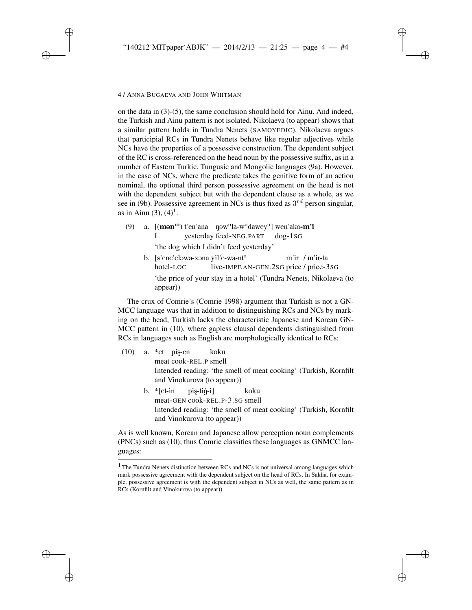✐

✐

✐

#### 4/ANNA BUGAEVA AND JOHN WHITMAN

✐

✐

✐

✐

on the data in (3)-(5), the same conclusion should hold for Ainu. And indeed, the Turkish and Ainu pattern is not isolated. Nikolaeva (to appear) shows that a similar pattern holds in Tundra Nenets (SAMOYEDIC). Nikolaeva argues that participial RCs in Tundra Nenets behave like regular adjectives while NCs have the properties of a possessive construction. The dependent subject of the RC is cross-referenced on the head noun by the possessive suffix, as in a number of Eastern Turkic, Tungusic and Mongolic languages (9a). However, in the case of NCs, where the predicate takes the genitive form of an action nominal, the optional third person possessive agreement on the head is not with the dependent subject but with the dependent clause as a whole, as we see in (9b). Possessive agreement in NCs is thus fixed as  $3^{rd}$  person singular, as in Ainu  $(3)$ ,  $(4)^{1}$ .

- (9) a. [(mən'<sup>o</sup>) t'en'ana yəw<sup>o</sup>la-w<sup>o</sup>dawey<sup>o</sup>] wen'ako**-m'i** I yesterday feed-NEG.PART dog-1SG 'the dog which I didn't feed yesterday'
	- b. [s'enc'eləwa-xəna yil'e-wa-nt<sup>o</sup> hotel-LOC live-IMPF.AN-GEN.2SG price / price-3SG m'ir / m'ir-ta 'the price of your stay in a hotel' (Tundra Nenets, Nikolaeva (to appear))

The crux of Comrie's (Comrie 1998) argument that Turkish is not a GN-MCC language was that in addition to distinguishing RCs and NCs by marking on the head, Turkish lacks the characteristic Japanese and Korean GN-MCC pattern in (10), where gapless clausal dependents distinguished from RCs in languages such as English are morphologically identical to RCs:

- (10) a. \*et pis¸-en meat cook-REL.P smell koku Intended reading: 'the smell of meat cooking' (Turkish, Kornfilt and Vinokurova (to appear))
	- b. \*[et-in meat-GEN cook-REL.P-3.SG smell pis-tiğ-i] koku Intended reading: 'the smell of meat cooking' (Turkish, Kornfilt and Vinokurova (to appear))

As is well known, Korean and Japanese allow perception noun complements (PNCs) such as (10); thus Comrie classifies these languages as GNMCC languages:

<sup>&</sup>lt;sup>1</sup> The Tundra Nenets distinction between RCs and NCs is not universal among languages which mark possessive agreement with the dependent subject on the head of RCs. In Sakha, for example, possessive agreement is with the dependent subject in NCs as well, the same pattern as in RCs (Kornfilt and Vinokurova (to appear))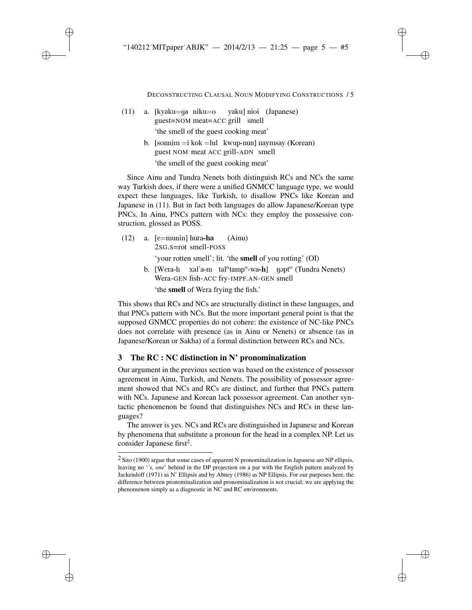DECONSTRUCTING CLAUSAL NOUN MODIFYING CONSTRUCTIONS / 5

✐

✐

✐

✐

(11) a. [kyaku=ga niku=o guest=NOM meat=ACC grill smell yaku] nioi (Japanese) 'the smell of the guest cooking meat'

✐

✐

✐

✐

b. [sonnim =i kok =lul kwup-nun] naymsay (Korean) guest NOM meat ACC grill-ADN smell

'the smell of the guest cooking meat'

Since Ainu and Tundra Nenets both distinguish RCs and NCs the same way Turkish does, if there were a unified GNMCC language type, we would expect these languages, like Turkish, to disallow PNCs like Korean and Japanese in (11). But in fact both languages do allow Japanese/Korean type PNCs. In Ainu, PNCs pattern with NCs: they employ the possessive construction, glossed as POSS.

- (12) a. [e=munin] hura-ha 2SG.S=rot smell-POSS (Ainu) 'your rotten smell'; lit. 'the smell of you rotting' (OI)
	- b. [Wera-h xal'a-m tal<sup>o</sup>tamp<sup>o</sup>-wa-h] ngpt<sup>o</sup> (Tundra Nenets) Wera-GEN fish-ACC fry-IMPF.AN-GEN smell

'the smell of Wera frying the fish.'

This shows that RCs and NCs are structurally distinct in these languages, and that PNCs pattern with NCs. But the more important general point is that the supposed GNMCC properties do not cohere: the existence of NC-like PNCs does not correlate with presence (as in Ainu or Nenets) or absence (as in Japanese/Korean or Sakha) of a formal distinction between RCs and NCs.

# 3 The RC : NC distinction in N' pronominalization

Our argument in the previous section was based on the existence of possessor agreement in Ainu, Turkish, and Nenets. The possibility of possessor agreement showed that NCs and RCs are distinct, and further that PNCs pattern with NCs. Japanese and Korean lack possessor agreement. Can another syntactic phenomenon be found that distinguishes NCs and RCs in these languages?

The answer is yes. NCs and RCs are distinguished in Japanese and Korean by phenomena that substitute a pronoun for the head in a complex NP. Let us consider Japanese first<sup>2</sup>.

 $2$  Sito (1900) argue that some cases of apparent N pronominalization in Japanese are NP ellipsis, leaving no '*'s, one*' behind in the DP projection on a par with the English pattern analyzed by Jackendoff (1971) as N' Ellipsis and by Abney (1986) as NP Ellipsis. For our purposes here, the difference between pronominalization and pronominalization is not crucial; we are applying the phenomenon simply as a diagnostic in NC and RC environments.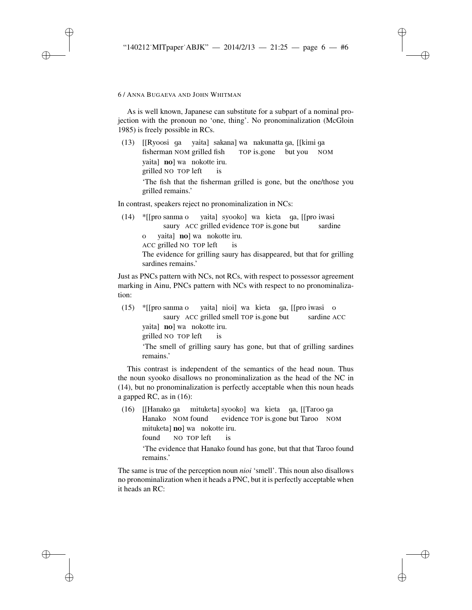✐

✐

✐

#### 6/ANNA BUGAEVA AND JOHN WHITMAN

✐

✐

✐

✐

As is well known, Japanese can substitute for a subpart of a nominal projection with the pronoun no 'one, thing'. No pronominalization (McGloin 1985) is freely possible in RCs.

(13) [[Ryoosi ga yaita] sakana] wa nakunatta ga, [[kimi ga fisherman NOM grilled fish TOP is.gone but you NOM yaita] no] wa nokotte iru. grilled NO TOP left is 'The fish that the fisherman grilled is gone, but the one/those you grilled remains.'

In contrast, speakers reject no pronominalization in NCs:

(14) \*[[pro sanma o yaita] syooko] wa kieta ga, [[pro iwasi saury ACC grilled evidence TOP is.gone but sardine o ACC grilled NO TOP left yaita] **no**] wa nokotte iru. is The evidence for grilling saury has disappeared, but that for grilling sardines remains.'

Just as PNCs pattern with NCs, not RCs, with respect to possessor agreement marking in Ainu, PNCs pattern with NCs with respect to no pronominalization:

(15) \*[[pro sanma o saury ACC grilled smell TOP is.gone but yaita] nioi] wa kieta ga, [[pro iwasi o sardine ACC yaita] no] wa nokotte iru. grilled NO TOP left is 'The smell of grilling saury has gone, but that of grilling sardines remains.'

This contrast is independent of the semantics of the head noun. Thus the noun syooko disallows no pronominalization as the head of the NC in (14), but no pronominalization is perfectly acceptable when this noun heads a gapped RC, as in (16):

(16) [[Hanako ga mituketa] syooko] wa kieta ga, [[Taroo ga Hanako NOM found evidence TOP is.gone but Taroo NOM mituketa] **no**] wa nokotte iru. found NO TOP left is

'The evidence that Hanako found has gone, but that that Taroo found remains.'

The same is true of the perception noun *nioi* 'smell'. This noun also disallows no pronominalization when it heads a PNC, but it is perfectly acceptable when it heads an RC: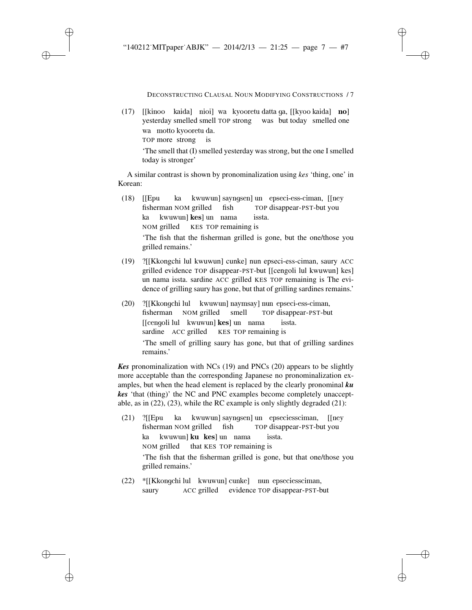✐

✐

✐

DECONSTRUCTING CLAUSAL NOUN MODIFYING CONSTRUCTIONS / 7

✐

✐

✐

✐

(17) [[kinoo kaida] nioi] wa kyooretu datta ga, [[kyoo kaida] **no**] yesterday smelled smell TOP strong was but today smelled one wa motto kyooretu da. TOP more strong is

'The smell that (I) smelled yesterday was strong, but the one I smelled today is stronger'

A similar contrast is shown by pronominalization using *kes* 'thing, one' in Korean:

(18) [[Epu fisherman NOM grilled ka kwuwun] sayngsen] un epseci-ess-ciman, [[ney fish TOP disappear-PST-but you ka kwuwun] **kes**] un nama NOM grilled KES TOP remaining is issta.

'The fish that the fisherman grilled is gone, but the one/those you grilled remains.'

- (19) ?[[Kkongchi lul kwuwun] cunke] nun epseci-ess-ciman, saury ACC grilled evidence TOP disappear-PST-but [[cengoli lul kwuwun] kes] un nama issta. sardine ACC grilled KES TOP remaining is The evidence of grilling saury has gone, but that of grilling sardines remains.'
- (20) ?[[Kkongchi lul kwuwun] naymsay] nun epseci-ess-ciman, fisherman NOM grilled smell TOP disappear-PST-but [[cengoli lul kwuwun] kes] un nama sardine ACC grilled KES TOP remaining is issta. 'The smell of grilling saury has gone, but that of grilling sardines remains.'

*Kes* pronominalization with NCs (19) and PNCs (20) appears to be slightly more acceptable than the corresponding Japanese no pronominalization examples, but when the head element is replaced by the clearly pronominal *ku kes* 'that (thing)' the NC and PNC examples become completely unacceptable, as in (22), (23), while the RC example is only slightly degraded (21):

- (21) ?[[Epu ka kwuwun] sayngsen] un epseciessciman, [[ney fisherman NOM grilled fish TOP disappear-PST-but you ka kwuwun] **ku kes**] un nama NOM grilled that KES TOP remaining is issta. 'The fish that the fisherman grilled is gone, but that one/those you grilled remains.'
- (22) \*[[Kkongchi lul kwuwun] cunke] nun epseciessciman, saury ACC grilled evidence TOP disappear-PST-but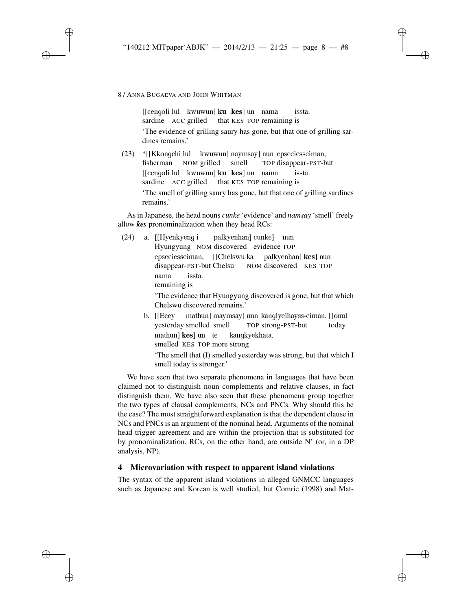✐

✐

✐

8/ANNA BUGAEVA AND JOHN WHITMAN

✐

✐

✐

✐

[[cengoli lul kwuwun] **ku kes**] un nama sardine ACC grilled that KES TOP remaining is issta. 'The evidence of grilling saury has gone, but that one of grilling sardines remains.'

(23) \*[[Kkongchi lul kwuwun] naymsay] nun epseciessciman, fisherman NOM grilled smell TOP disappear-PST-but [[cengoli lul kwuwun] ku kes] un nama sardine ACC grilled that KES TOP remaining is issta. 'The smell of grilling saury has gone, but that one of grilling sardines remains.'

As in Japanese, the head nouns *cunke* 'evidence' and *namsay* 'smell' freely allow *kes* pronominalization when they head RCs:

- (24) a. [[Hyenkyeng i Hyungyung NOM discovered evidence TOP palkyenhan] cunke] nun epseciessciman, [[Chelswu ka palkyenhan] kes] nun disappear-PST-but Chelsu NOM discovered KES TOP nama remaining is issta. 'The evidence that Hyungyung discovered is gone, but that which Chelswu discovered remains.' b. [[Ecey mathun] maymsay] nun kanglyelhayss-ciman, [[onul
	- yesterday smelled smell TOP strong-PST-but today mathun] **kes**] un te smelled KES TOP more strong kangkyekhata.

'The smell that (I) smelled yesterday was strong, but that which I smell today is stronger.'

We have seen that two separate phenomena in languages that have been claimed not to distinguish noun complements and relative clauses, in fact distinguish them. We have also seen that these phenomena group together the two types of clausal complements, NCs and PNCs. Why should this be the case? The most straightforward explanation is that the dependent clause in NCs and PNCs is an argument of the nominal head. Arguments of the nominal head trigger agreement and are within the projection that is substituted for by pronominalization. RCs, on the other hand, are outside N' (or, in a DP analysis, NP).

### 4 Microvariation with respect to apparent island violations

The syntax of the apparent island violations in alleged GNMCC languages such as Japanese and Korean is well studied, but Comrie (1998) and Mat-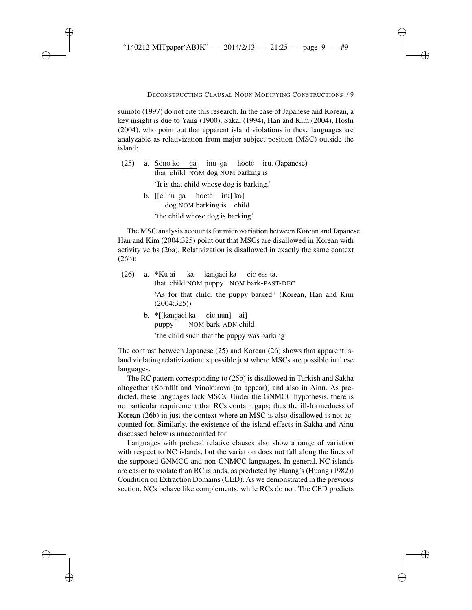#### DECONSTRUCTING CLAUSAL NOUN MODIFYING CONSTRUCTIONS / 9

✐

✐

✐

✐

sumoto (1997) do not cite this research. In the case of Japanese and Korean, a key insight is due to Yang (1900), Sakai (1994), Han and Kim (2004), Hoshi (2004), who point out that apparent island violations in these languages are analyzable as relativization from major subject position (MSC) outside the island:

|  |                                                                                                                                          |  |  |  |  | (25) a. Sono ko ga inu ga hoete iru. (Japanese) |
|--|------------------------------------------------------------------------------------------------------------------------------------------|--|--|--|--|-------------------------------------------------|
|  | that child NOM dog NOM barking is                                                                                                        |  |  |  |  |                                                 |
|  | 'It is that child whose dog is barking.'                                                                                                 |  |  |  |  |                                                 |
|  | b. $\lceil \cdot \rceil$ is the left in $\lceil \cdot \rceil$ in $\lceil \cdot \rceil$ in $\lceil \cdot \rceil$ in $\lceil \cdot \rceil$ |  |  |  |  |                                                 |
|  | dog NOM barking is child                                                                                                                 |  |  |  |  |                                                 |

'the child whose dog is barking'

✐

✐

✐

✐

The MSC analysis accounts for microvariation between Korean and Japanese. Han and Kim (2004:325) point out that MSCs are disallowed in Korean with activity verbs (26a). Relativization is disallowed in exactly the same context (26b):

- (26) a. \*Ku ai that child NOM puppy NOM bark-PAST-DEC ka kangaci ka cic-ess-ta. 'As for that child, the puppy barked.' (Korean, Han and Kim (2004:325))
	- b. \*[[kangaci ka puppy NOM bark-ADN child cic-nun] ai] 'the child such that the puppy was barking'

The contrast between Japanese (25) and Korean (26) shows that apparent island violating relativization is possible just where MSCs are possible in these languages.

The RC pattern corresponding to (25b) is disallowed in Turkish and Sakha altogether (Kornfilt and Vinokurova (to appear)) and also in Ainu. As predicted, these languages lack MSCs. Under the GNMCC hypothesis, there is no particular requirement that RCs contain gaps; thus the ill-formedness of Korean (26b) in just the context where an MSC is also disallowed is not accounted for. Similarly, the existence of the island effects in Sakha and Ainu discussed below is unaccounted for.

Languages with prehead relative clauses also show a range of variation with respect to NC islands, but the variation does not fall along the lines of the supposed GNMCC and non-GNMCC languages. In general, NC islands are easier to violate than RC islands, as predicted by Huang's (Huang (1982)) Condition on Extraction Domains (CED). As we demonstrated in the previous section, NCs behave like complements, while RCs do not. The CED predicts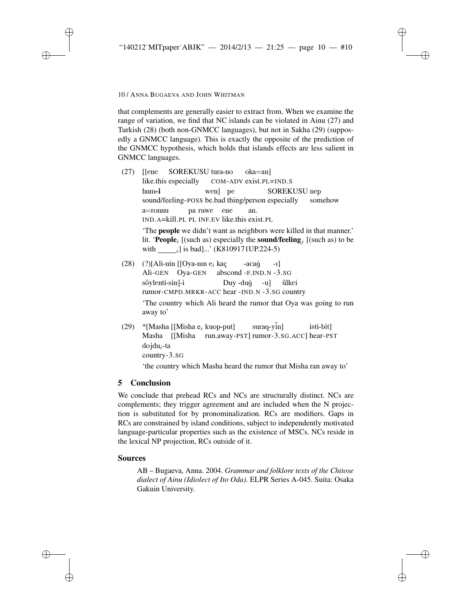✐

✐

✐

10 / ANNA BUGAEVA AND JOHN WHITMAN

✐

✐

✐

✐

that complements are generally easier to extract from. When we examine the range of variation, we find that NC islands can be violated in Ainu (27) and Turkish (28) (both non-GNMCC languages), but not in Sakha (29) (supposedly a GNMCC language). This is exactly the opposite of the prediction of the GNMCC hypothesis, which holds that islands effects are less salient in GNMCC languages.

(27) [[ene like.this especially SOREKUSU tura-no COM-ADV exist.PL=IND.S oka=an] hum-i sound/feeling-POSS be.bad thing/person especially wen] pe SOREKUSU nep somehow a=ronnu IND.A=kill.PL PL INF.EV like.this exist.PL pa ruwe ene an. 'The people we didn't want as neighbors were killed in that manner.'

lit. 'People<sub>i</sub> [(such as) especially the sound/feeling<sub>i</sub> [(such as) to be with  $\frac{1}{\sqrt{1}}$  is bad]...' (K8109171UP.224-5)

- (28) (?)[Ali-nin [[Oya-nın  $e_i$  kaç Ali-GEN Oya-GEN abscond -F.IND.N -3.SG -acağ -ı] söylenti-sin]-i rumor-CMPD.MRKR-ACC hear -IND.N -3.SG country Duy -duǧ -u] ¨ulkei 'The country which Ali heard the rumor that Oya was going to run away to'
- (29) \* [Masha [[Misha  $e_i$  kuop-put] Masha [[Misha run.away-PST] rumor-3.SG.ACC] hear-PST suraq-yin] isti-bit]  $d$ ojdu<sub>i</sub>-ta country-3.SG

'the country which Masha heard the rumor that Misha ran away to'

# 5 Conclusion

We conclude that prehead RCs and NCs are structurally distinct. NCs are complements; they trigger agreement and are included when the N projection is substituted for by pronominalization. RCs are modifiers. Gaps in RCs are constrained by island conditions, subject to independently motivated language-particular properties such as the existence of MSCs. NCs reside in the lexical NP projection, RCs outside of it.

# Sources

AB – Bugaeva, Anna. 2004. *Grammar and folklore texts of the Chitose dialect of Ainu (Idiolect of Ito Oda)*. ELPR Series A-045. Suita: Osaka Gakuin University.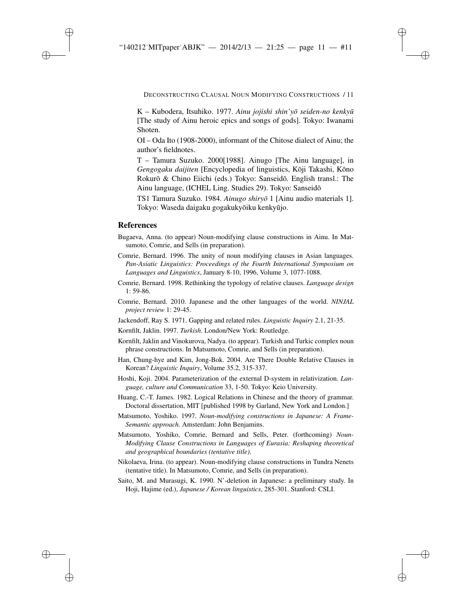DECONSTRUCTING CLAUSAL NOUN MODIFYING CONSTRUCTIONS / 11

✐

✐

✐

✐

K – Kubodera, Itsuhiko. 1977. *Ainu jojishi shin'yō seiden-no kenkyū* [The study of Ainu heroic epics and songs of gods]. Tokyo: Iwanami Shoten.

OI – Oda Ito (1908-2000), informant of the Chitose dialect of Ainu; the author's fieldnotes.

T – Tamura Suzuko. 2000[1988]. Ainugo [The Ainu language], in *Gengogaku daijiten* [Encyclopedia of linguistics, Kōji Takashi, Kōno Rokurō & Chino Eiichi (eds.) Tokyo: Sanseidō. English transl.: The Ainu language, (ICHEL Ling. Studies 29). Tokyo: Sanseido¯

TS1 Tamura Suzuko. 1984. *Ainugo shiryo¯* 1 [Ainu audio materials 1]. Tokyo: Waseda daigaku gogakukyōiku kenkyūjo.

#### References

✐

✐

✐

✐

- Bugaeva, Anna. (to appear) Noun-modifying clause constructions in Ainu. In Matsumoto, Comrie, and Sells (in preparation).
- Comrie, Bernard. 1996. The unity of noun modifying clauses in Asian languages. *Pan-Asiatic Linguistics: Proceedings of the Fourth International Symposium on Languages and Linguistics*, January 8-10, 1996, Volume 3, 1077-1088.
- Comrie, Bernard. 1998. Rethinking the typology of relative clauses. *Language design* 1: 59-86.
- Comrie, Bernard. 2010. Japanese and the other languages of the world. *NINJAL project review* 1: 29-45.
- Jackendoff, Ray S. 1971. Gapping and related rules. *Linguistic Inquiry* 2.1, 21-35.
- Kornfilt, Jaklin. 1997. *Turkish*. London/New York: Routledge.
- Kornfilt, Jaklin and Vinokurova, Nadya. (to appear). Turkish and Turkic complex noun phrase constructions. In Matsumoto, Comrie, and Sells (in preparation).
- Han, Chung-hye and Kim, Jong-Bok. 2004. Are There Double Relative Clauses in Korean? *Linguistic Inquiry*, Volume 35.2, 315-337.
- Hoshi, Koji. 2004. Parameterization of the external D-system in relativization. *Language, culture and Communication* 33, 1-50. Tokyo: Keio University.
- Huang, C.-T. James. 1982. Logical Relations in Chinese and the theory of grammar. Doctoral dissertation, MIT [published 1998 by Garland, New York and London.]
- Matsumoto, Yoshiko. 1997. *Noun-modifying constructions in Japanese: A Frame-Semantic approach.* Amsterdam: John Benjamins.
- Matsumoto, Yoshiko, Comrie, Bernard and Sells, Peter. (forthcoming) *Noun-Modifying Clause Constructions in Languages of Eurasia: Reshaping theoretical and geographical boundaries (tentative title)*.
- Nikolaeva, Irina. (to appear). Noun-modifying clause constructions in Tundra Nenets (tentative title). In Matsumoto, Comrie, and Sells (in preparation).
- Saito, M. and Murasugi, K. 1990. N'-deletion in Japanese: a preliminary study. In Hoji, Hajime (ed.), *Japanese / Korean linguistics*, 285-301. Stanford: CSLI.